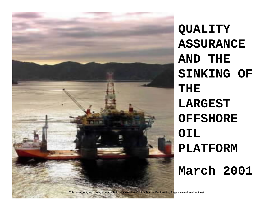

**QUALITY ASSURANCE AND THE SINKING OF THE LARGEST OFFSHORE OIL PLATFORM**

**March 2001**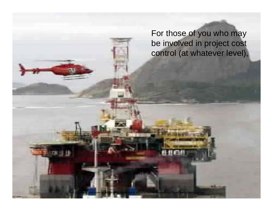For those of you who may be involved in project cost control (at whatever level),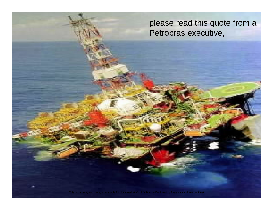please read this quote from a Petrobras executive,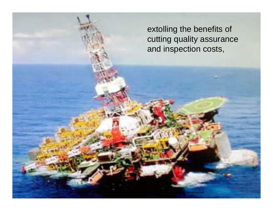extolling the benefits of cutting quality assurance and inspection costs,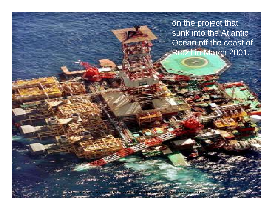on the project that sunk into the Atlantic Ocean off the coast of Brazil in March 2001.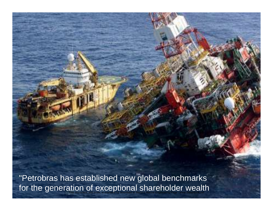"Petrobras has established new global benchmarks for the generation of exceptional shareholder wealth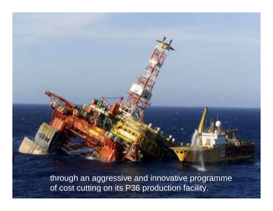through an aggressive and innovative programme of cost cutting on its P36 production facility. This document, and more, is available for download at Martin's Marine Engineering Page - www.dieselduck.net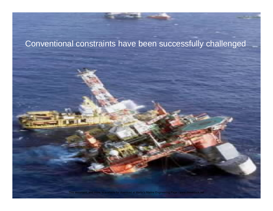## Conventional constraints have been successfully challenged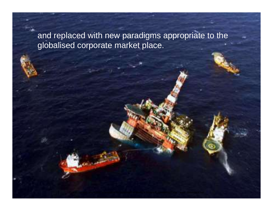and replaced with new paradigms appropriate to the globalised corporate market place.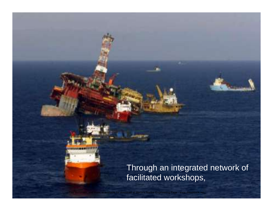## Through an integrated network of facilitated workshops,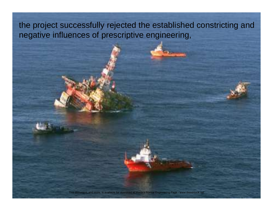the project successfully rejected the established constricting and negative influences of prescriptive engineering,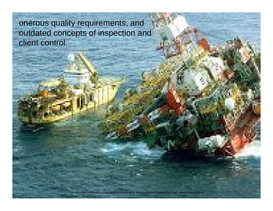onerous quality requirements, and outdated concepts of inspection and client control.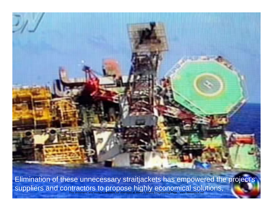Elimination of these unnecessary straitjackets has empowered the project's suppliers and contractors to propose highly economical solutions, This document, and more, is available for download at Martin's Marine Engineering Page - www.dieselduck.net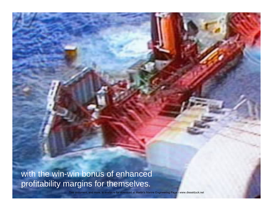with the win-win bonus of enhanced profitability margins for themselves.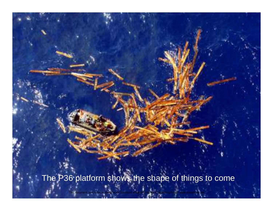The P36 platform shows the shape of things to come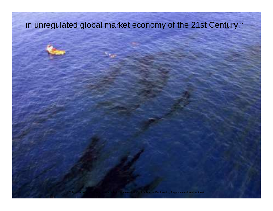## in unregulated global market economy of the 21st Century."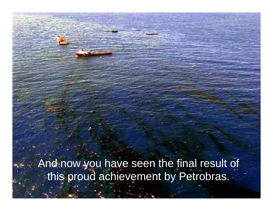- And now you have seen the final result of this proud achievement by Petrobras.